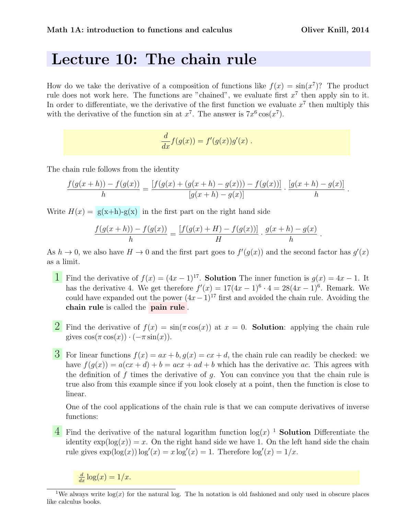.

## Lecture 10: The chain rule

How do we take the derivative of a composition of functions like  $f(x) = \sin(x^7)$ ? The product rule does not work here. The functions are "chained", we evaluate first  $x^7$  then apply sin to it. In order to differentiate, we the derivative of the first function we evaluate  $x^7$  then multiply this with the derivative of the function sin at  $x^7$ . The answer is  $7x^6 \cos(x^7)$ .

$$
\frac{d}{dx}f(g(x)) = f'(g(x))g'(x) .
$$

The chain rule follows from the identity

$$
\frac{f(g(x+h)) - f(g(x))}{h} = \frac{[f(g(x) + (g(x+h) - g(x))) - f(g(x))]}{[g(x+h) - g(x)]} \cdot \frac{[g(x+h) - g(x)]}{h}.
$$

Write  $H(x) = g(x+h)-g(x)$  in the first part on the right hand side

$$
\frac{f(g(x+h)) - f(g(x))}{h} = \frac{[f(g(x) + H) - f(g(x))]}{H} \cdot \frac{g(x+h) - g(x)}{h}
$$

As  $h \to 0$ , we also have  $H \to 0$  and the first part goes to  $f'(g(x))$  and the second factor has  $g'(x)$ as a limit.

- **1** Find the derivative of  $f(x) = (4x 1)^{17}$ . **Solution** The inner function is  $g(x) = 4x 1$ . It has the derivative 4. We get therefore  $f'(x) = 17(4x - 1)^6 \cdot 4 = 28(4x - 1)^6$ . Remark. We could have expanded out the power  $(4x-1)^{17}$  first and avoided the chain rule. Avoiding the chain rule is called the pain rule .
- **2** Find the derivative of  $f(x) = \sin(\pi \cos(x))$  at  $x = 0$ . **Solution**: applying the chain rule gives  $\cos(\pi \cos(x)) \cdot (-\pi \sin(x)).$
- 3 For linear functions  $f(x) = ax + b$ ,  $g(x) = cx + d$ , the chain rule can readily be checked: we have  $f(g(x)) = a(cx + d) + b = acx + ad + b$  which has the derivative ac. This agrees with the definition of f times the derivative of  $g$ . You can convince you that the chain rule is true also from this example since if you look closely at a point, then the function is close to linear.

One of the cool applications of the chain rule is that we can compute derivatives of inverse functions:

 $\overline{4}$  Find the derivative of the natural logarithm function  $\log(x)$ <sup>1</sup> Solution Differentiate the identity  $\exp(\log(x)) = x$ . On the right hand side we have 1. On the left hand side the chain rule gives  $\exp(\log(x)) \log'(x) = x \log'(x) = 1$ . Therefore  $\log'(x) = 1/x$ .

 $\frac{d}{dx} \log(x) = 1/x.$ 

<sup>&</sup>lt;sup>1</sup>We always write  $log(x)$  for the natural log. The ln notation is old fashioned and only used in obscure places like calculus books.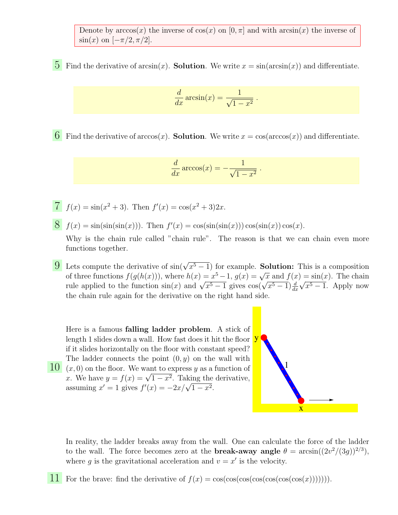Denote by  $arccos(x)$  the inverse of  $cos(x)$  on  $[0, \pi]$  and with  $arcsin(x)$  the inverse of  $\sin(x)$  on  $[-\pi/2, \pi/2]$ .

5 Find the derivative of  $arcsin(x)$ . **Solution**. We write  $x = sin(arcsin(x))$  and differentiate.

$$
\frac{d}{dx}\arcsin(x) = \frac{1}{\sqrt{1-x^2}}.
$$

6 Find the derivative of  $arccos(x)$ . **Solution**. We write  $x = cos(arccos(x))$  and differentiate.

$$
\frac{d}{dx}\arccos(x) = -\frac{1}{\sqrt{1-x^2}}.
$$

- $\overline{7}$   $f(x) = \sin(x^2 + 3)$ . Then  $f'(x) = \cos(x^2 + 3)2x$ .
- $\mathcal{S}$   $f(x) = \sin(\sin(\sin(x)))$ . Then  $f'(x) = \cos(\sin(\sin(x))) \cos(\sin(x)) \cos(x)$ .

Why is the chain rule called "chain rule". The reason is that we can chain even more functions together.

**9** Lets compute the derivative of  $sin(\sqrt{x^5-1})$  for example. **Solution:** This is a composition Let's compute the derivative of  $\sin(\sqrt{x^3 - 1})$  for example. **Solution:** This is a composition<br>of three functions  $f(g(h(x)))$ , where  $h(x) = x^5 - 1$ ,  $g(x) = \sqrt{x}$  and  $f(x) = \sin(x)$ . The chain or three functions  $f(g(n(x)))$ , where  $n(x) = x^2 - 1$ ,  $g(x) = \sqrt{x}$  and  $f(x)$ <br>rule applied to the function  $\sin(x)$  and  $\sqrt{x^5 - 1}$  gives  $\cos(\sqrt{x^5 - 1})\frac{d}{dx}$ √  $\overline{x^5-1}$ . Apply now the chain rule again for the derivative on the right hand side.

 $\overline{10}$   $(x, 0)$  on the floor. We want to express y as a function of Here is a famous falling ladder problem. A stick of length 1 slides down a wall. How fast does it hit the floor if it slides horizontally on the floor with constant speed? The ladder connects the point  $(0, y)$  on the wall with  $(x, 0)$  on the hoor. We want to express y as a function of  $x$ . We have  $y = f(x) = \sqrt{1 - x^2}$ . Taking the derivative, x. we nave  $y = f(x) = \sqrt{1 - x^2}$ . Taking the<br>assuming  $x' = 1$  gives  $f'(x) = -2x/\sqrt{1 - x^2}$ .



In reality, the ladder breaks away from the wall. One can calculate the force of the ladder to the wall. The force becomes zero at the **break-away angle**  $\theta = \arcsin((2v^2/(3g))^{2/3})$ , where g is the gravitational acceleration and  $v = x'$  is the velocity.

11 For the brave: find the derivative of  $f(x) = \cos(\cos(\cos(\cos(\cos(\cos(x))))))$ .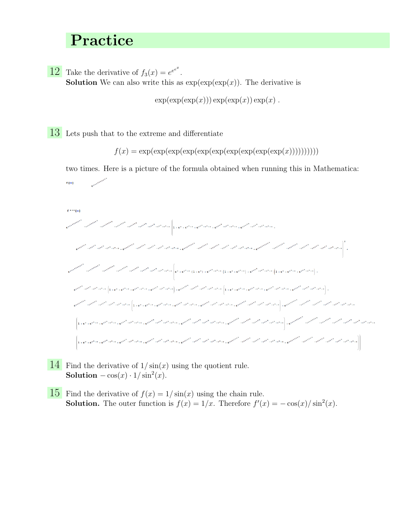## Practice

12 Take the derivative of  $f_3(x) = e^{e^{x^x}}$ . **Solution** We can also write this as  $exp(exp(exp(x))$ . The derivative is

 $exp(exp(exp(x))) exp(exp(x)) exp(x)$ .

13 Lets push that to the extreme and differentiate

 $f(x) = \exp(\exp(\exp(\exp(\exp(\exp(\exp(\exp(\exp(\exp(\exp(x))))))))))))$ 

two times. Here is a picture of the formula obtained when running this in Mathematica:  $f[x]$ 



- 14 Find the derivative of  $1/\sin(x)$  using the quotient rule. Solution  $-\cos(x) \cdot 1/\sin^2(x)$ .
- $\overline{15}$  Find the derivative of  $f(x) = 1/\sin(x)$  using the chain rule. **Solution.** The outer function is  $f(x) = 1/x$ . Therefore  $f'(x) = -\cos(x)/\sin^2(x)$ .